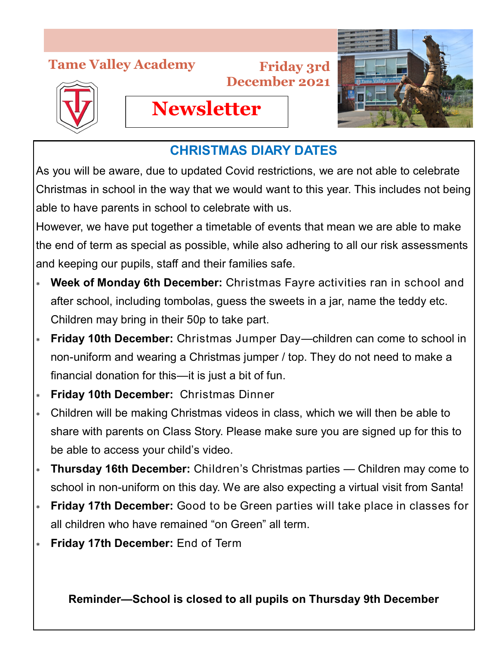## **Tame Valley Academy**



**Friday 3rd December 2021**



## **CHRISTMAS DIARY DATES**

**Newsletter**

As you will be aware, due to updated Covid restrictions, we are not able to celebrate Christmas in school in the way that we would want to this year. This includes not being able to have parents in school to celebrate with us.

However, we have put together a timetable of events that mean we are able to make the end of term as special as possible, while also adhering to all our risk assessments and keeping our pupils, staff and their families safe.

- **Week of Monday 6th December:** Christmas Fayre activities ran in school and after school, including tombolas, guess the sweets in a jar, name the teddy etc. Children may bring in their 50p to take part.
- **Friday 10th December:** Christmas Jumper Day—children can come to school in non-uniform and wearing a Christmas jumper / top. They do not need to make a financial donation for this—it is just a bit of fun.
- **Friday 10th December:** Christmas Dinner
- Children will be making Christmas videos in class, which we will then be able to share with parents on Class Story. Please make sure you are signed up for this to be able to access your child's video.
- **Thursday 16th December:** Children's Christmas parties Children may come to school in non-uniform on this day. We are also expecting a virtual visit from Santa!
- **Friday 17th December:** Good to be Green parties will take place in classes for all children who have remained "on Green" all term.
- **Friday 17th December:** End of Term

**Reminder—School is closed to all pupils on Thursday 9th December**